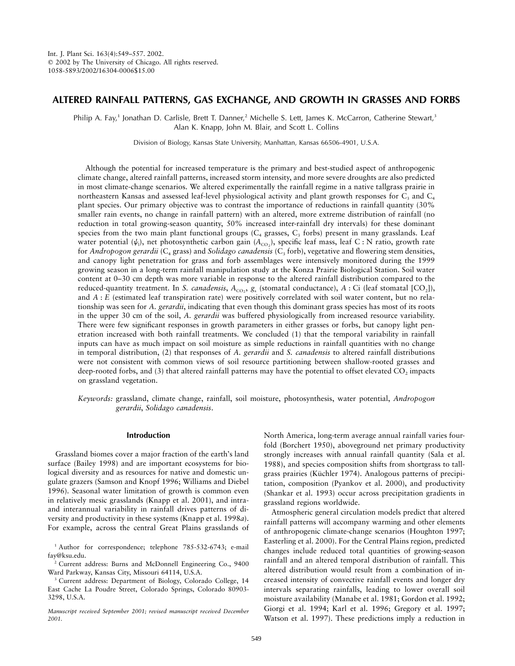# **ALTERED RAINFALL PATTERNS, GAS EXCHANGE, AND GROWTH IN GRASSES AND FORBS**

Philip A. Fay,<sup>1</sup> Jonathan D. Carlisle, Brett T. Danner,<sup>2</sup> Michelle S. Lett, James K. McCarron, Catherine Stewart,<sup>3</sup> Alan K. Knapp, John M. Blair, and Scott L. Collins

Division of Biology, Kansas State University, Manhattan, Kansas 66506-4901, U.S.A.

Although the potential for increased temperature is the primary and best-studied aspect of anthropogenic climate change, altered rainfall patterns, increased storm intensity, and more severe droughts are also predicted in most climate-change scenarios. We altered experimentally the rainfall regime in a native tallgrass prairie in northeastern Kansas and assessed leaf-level physiological activity and plant growth responses for  $C_3$  and  $C_4$ plant species. Our primary objective was to contrast the importance of reductions in rainfall quantity (30% smaller rain events, no change in rainfall pattern) with an altered, more extreme distribution of rainfall (no reduction in total growing-season quantity, 50% increased inter-rainfall dry intervals) for these dominant species from the two main plant functional groups  $(C_4$  grasses,  $C_3$  forbs) present in many grasslands. Leaf water potential ( $\psi$ <sub>i</sub>), net photosynthetic carbon gain ( $A_{\rm CO_2}$ ), specific leaf mass, leaf C : N ratio, growth rate for *Andropogon gerardii* ( $C_4$  grass) and *Solidago canadensis* ( $C_3$  forb), vegetative and flowering stem densities, and canopy light penetration for grass and forb assemblages were intensively monitored during the 1999 growing season in a long-term rainfall manipulation study at the Konza Prairie Biological Station. Soil water content at 0–30 cm depth was more variable in response to the altered rainfall distribution compared to the reduced-quantity treatment. In *S. canadensis*,  $A_{CO_2}$ ,  $g_s$  (stomatal conductance),  $A$ : Ci (leaf stomatal [CO<sub>2</sub>]), and *A* : *E* (estimated leaf transpiration rate) were positively correlated with soil water content, but no relationship was seen for *A. gerardii*, indicating that even though this dominant grass species has most of its roots in the upper 30 cm of the soil, *A. gerardii* was buffered physiologically from increased resource variability. There were few significant responses in growth parameters in either grasses or forbs, but canopy light penetration increased with both rainfall treatments. We concluded (1) that the temporal variability in rainfall inputs can have as much impact on soil moisture as simple reductions in rainfall quantities with no change in temporal distribution, (2) that responses of *A. gerardii* and *S. canadensis* to altered rainfall distributions were not consistent with common views of soil resource partitioning between shallow-rooted grasses and deep-rooted forbs, and  $(3)$  that altered rainfall patterns may have the potential to offset elevated  $CO<sub>2</sub>$  impacts on grassland vegetation.

*Keywords:* grassland, climate change, rainfall, soil moisture, photosynthesis, water potential, *Andropogon gerardii*, *Solidago canadensis*.

## **Introduction**

Grassland biomes cover a major fraction of the earth's land surface (Bailey 1998) and are important ecosystems for biological diversity and as resources for native and domestic ungulate grazers (Samson and Knopf 1996; Williams and Diebel 1996). Seasonal water limitation of growth is common even in relatively mesic grasslands (Knapp et al. 2001), and intraand interannual variability in rainfall drives patterns of diversity and productivity in these systems (Knapp et al. 1998*a*). For example, across the central Great Plains grasslands of

<sup>1</sup> Author for correspondence; telephone 785-532-6743; e-mail fay@ksu.edu.

<sup>2</sup> Current address: Burns and McDonnell Engineering Co., 9400 Ward Parkway, Kansas City, Missouri 64114, U.S.A.

<sup>3</sup> Current address: Department of Biology, Colorado College, 14 East Cache La Poudre Street, Colorado Springs, Colorado 80903- 3298, U.S.A.

*Manuscript received September 2001; revised manuscript received December 2001.*

North America, long-term average annual rainfall varies fourfold (Borchert 1950), aboveground net primary productivity strongly increases with annual rainfall quantity (Sala et al. 1988), and species composition shifts from shortgrass to tallgrass prairies (Küchler 1974). Analogous patterns of precipitation, composition (Pyankov et al. 2000), and productivity (Shankar et al. 1993) occur across precipitation gradients in grassland regions worldwide.

Atmospheric general circulation models predict that altered rainfall patterns will accompany warming and other elements of anthropogenic climate-change scenarios (Houghton 1997; Easterling et al. 2000). For the Central Plains region, predicted changes include reduced total quantities of growing-season rainfall and an altered temporal distribution of rainfall. This altered distribution would result from a combination of increased intensity of convective rainfall events and longer dry intervals separating rainfalls, leading to lower overall soil moisture availability (Manabe et al. 1981; Gordon et al. 1992; Giorgi et al. 1994; Karl et al. 1996; Gregory et al. 1997; Watson et al. 1997). These predictions imply a reduction in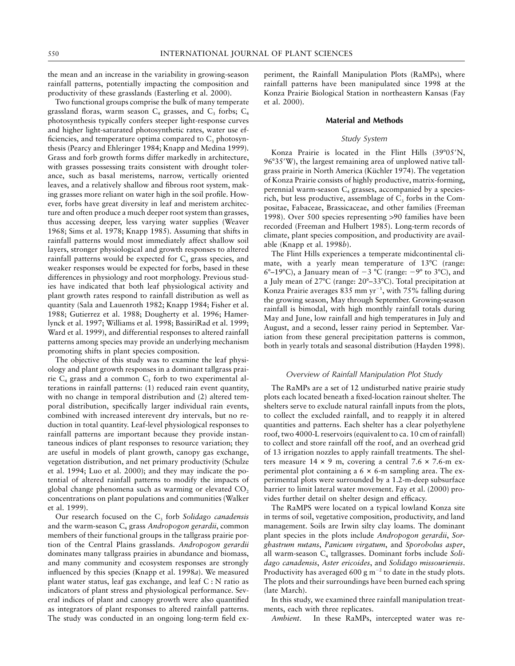the mean and an increase in the variability in growing-season rainfall patterns, potentially impacting the composition and productivity of these grasslands (Easterling et al. 2000).

Two functional groups comprise the bulk of many temperate grassland floras, warm season  $C_4$  grasses, and  $C_3$  forbs;  $C_4$ photosynthesis typically confers steeper light-response curves and higher light-saturated photosynthetic rates, water use efficiencies, and temperature optima compared to  $C_3$  photosynthesis (Pearcy and Ehleringer 1984; Knapp and Medina 1999). Grass and forb growth forms differ markedly in architecture, with grasses possessing traits consistent with drought tolerance, such as basal meristems, narrow, vertically oriented leaves, and a relatively shallow and fibrous root system, making grasses more reliant on water high in the soil profile. However, forbs have great diversity in leaf and meristem architecture and often produce a much deeper root system than grasses, thus accessing deeper, less varying water supplies (Weaver 1968; Sims et al. 1978; Knapp 1985). Assuming that shifts in rainfall patterns would most immediately affect shallow soil layers, stronger physiological and growth responses to altered rainfall patterns would be expected for  $C_4$  grass species, and weaker responses would be expected for forbs, based in these differences in physiology and root morphology. Previous studies have indicated that both leaf physiological activity and plant growth rates respond to rainfall distribution as well as quantity (Sala and Lauenroth 1982; Knapp 1984; Fisher et al. 1988; Gutierrez et al. 1988; Dougherty et al. 1996; Hamerlynck et al. 1997; Williams et al. 1998; BassiriRad et al. 1999; Ward et al. 1999), and differential responses to altered rainfall patterns among species may provide an underlying mechanism promoting shifts in plant species composition.

The objective of this study was to examine the leaf physiology and plant growth responses in a dominant tallgrass prairie  $C_4$  grass and a common  $C_3$  forb to two experimental alterations in rainfall patterns: (1) reduced rain event quantity, with no change in temporal distribution and (2) altered temporal distribution, specifically larger individual rain events, combined with increased interevent dry intervals, but no reduction in total quantity. Leaf-level physiological responses to rainfall patterns are important because they provide instantaneous indices of plant responses to resource variation; they are useful in models of plant growth, canopy gas exchange, vegetation distribution, and net primary productivity (Schulze et al. 1994; Luo et al. 2000); and they may indicate the potential of altered rainfall patterns to modify the impacts of global change phenomena such as warming or elevated  $CO<sub>2</sub>$ concentrations on plant populations and communities (Walker et al. 1999).

Our research focused on the C<sub>3</sub> forb *Solidago canadensis* and the warm-season C<sub>4</sub> grass *Andropogon gerardii*, common members of their functional groups in the tallgrass prairie portion of the Central Plains grasslands. *Andropogon gerardii* dominates many tallgrass prairies in abundance and biomass, and many community and ecosystem responses are strongly influenced by this species (Knapp et al. 1998*a*). We measured plant water status, leaf gas exchange, and leaf C : N ratio as indicators of plant stress and physiological performance. Several indices of plant and canopy growth were also quantified as integrators of plant responses to altered rainfall patterns. The study was conducted in an ongoing long-term field experiment, the Rainfall Manipulation Plots (RaMPs), where rainfall patterns have been manipulated since 1998 at the Konza Prairie Biological Station in northeastern Kansas (Fay et al. 2000).

## **Material and Methods**

# *Study System*

Konza Prairie is located in the Flint Hills (39°05'N, 96°35'W), the largest remaining area of unplowed native tallgrass prairie in North America (Küchler 1974). The vegetation of Konza Prairie consists of highly productive, matrix-forming, perennial warm-season  $C_4$  grasses, accompanied by a speciesrich, but less productive, assemblage of  $C_3$  forbs in the Compositae, Fabaceae, Brassicaceae, and other families (Freeman 1998). Over 500 species representing >90 families have been recorded (Freeman and Hulbert 1985). Long-term records of climate, plant species composition, and productivity are available (Knapp et al. 1998*b*).

The Flint Hills experiences a temperate midcontinental climate, with a yearly mean temperature of 13°C (range:  $6^{\circ}-19^{\circ}$ C), a January mean of  $-3^{\circ}$ C (range:  $-9^{\circ}$  to  $3^{\circ}$ C), and a July mean of 27°C (range: 20°–33°C). Total precipitation at Konza Prairie averages  $835$  mm yr<sup>-1</sup>, with  $75\%$  falling during the growing season, May through September. Growing-season rainfall is bimodal, with high monthly rainfall totals during May and June, low rainfall and high temperatures in July and August, and a second, lesser rainy period in September. Variation from these general precipitation patterns is common, both in yearly totals and seasonal distribution (Hayden 1998).

#### *Overview of Rainfall Manipulation Plot Study*

The RaMPs are a set of 12 undisturbed native prairie study plots each located beneath a fixed-location rainout shelter. The shelters serve to exclude natural rainfall inputs from the plots, to collect the excluded rainfall, and to reapply it in altered quantities and patterns. Each shelter has a clear polyethylene roof, two 4000-L reservoirs (equivalent to ca. 10 cm of rainfall) to collect and store rainfall off the roof, and an overhead grid of 13 irrigation nozzles to apply rainfall treatments. The shelters measure  $14 \times 9$  m, covering a central  $7.6 \times 7.6$ -m experimental plot containing a  $6 \times 6$ -m sampling area. The experimental plots were surrounded by a 1.2-m-deep subsurface barrier to limit lateral water movement. Fay et al. (2000) provides further detail on shelter design and efficacy.

The RaMPS were located on a typical lowland Konza site in terms of soil, vegetative composition, productivity, and land management. Soils are Irwin silty clay loams. The dominant plant species in the plots include *Andropogon gerardii*, *Sorghastrum nutans*, *Panicum virgatum*, and *Sporobolus asper*, all warm-season C<sub>4</sub> tallgrasses. Dominant forbs include Soli*dago canadensis*, *Aster ericoides*, and *Solidago missouriensis*. Productivity has averaged 600 g  $m^{-2}$  to date in the study plots. The plots and their surroundings have been burned each spring (late March).

In this study, we examined three rainfall manipulation treatments, each with three replicates.

*Ambient*. In these RaMPs, intercepted water was re-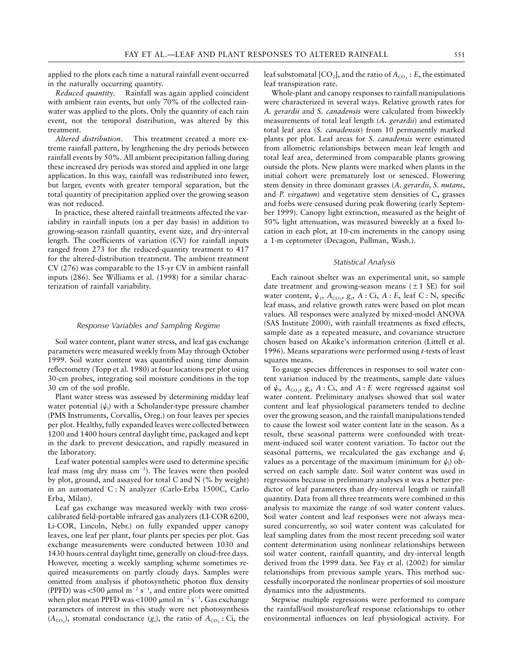applied to the plots each time a natural rainfall event occurred in the naturally occurring quantity.

*Reduced quantity*. Rainfall was again applied coincident with ambient rain events, but only 70% of the collected rainwater was applied to the plots. Only the quantity of each rain event, not the temporal distribution, was altered by this treatment.

*Altered distribution*. This treatment created a more extreme rainfall pattern, by lengthening the dry periods between rainfall events by 50%. All ambient precipitation falling during these increased dry periods was stored and applied in one large application. In this way, rainfall was redistributed into fewer, but larger, events with greater temporal separation, but the total quantity of precipitation applied over the growing season was not reduced.

In practice, these altered rainfall treatments affected the variability in rainfall inputs (on a per day basis) in addition to growing-season rainfall quantity, event size, and dry-interval length. The coefficients of variation (CV) for rainfall inputs ranged from 273 for the reduced-quantity treatment to 417 for the altered-distribution treatment. The ambient treatment CV (276) was comparable to the 15-yr CV in ambient rainfall inputs (286). See Williams et al. (1998) for a similar characterization of rainfall variability.

#### *Response Variables and Sampling Regime*

Soil water content, plant water stress, and leaf gas exchange parameters were measured weekly from May through October 1999. Soil water content was quantified using time domain reflectometry (Topp et al. 1980) at four locations per plot using 30-cm probes, integrating soil moisture conditions in the top 30 cm of the soil profile.

Plant water stress was assessed by determining midday leaf water potential  $(\psi_{\text{l}})$  with a Scholander-type pressure chamber (PMS Instruments, Corvallis, Oreg.) on four leaves per species per plot. Healthy, fully expanded leaves were collected between 1200 and 1400 hours central daylight time, packaged and kept in the dark to prevent desiccation, and rapidly measured in the laboratory.

Leaf water potential samples were used to determine specific leaf mass (mg dry mass  $cm^{-2}$ ). The leaves were then pooled by plot, ground, and assayed for total C and N (% by weight) in an automated C : N analyzer (Carlo-Erba 1500C, Carlo Erba, Milan).

Leaf gas exchange was measured weekly with two crosscalibrated field-portable infrared gas analyzers (LI-COR 6200, Li-COR, Lincoln, Nebr.) on fully expanded upper canopy leaves, one leaf per plant, four plants per species per plot. Gas exchange measurements were conducted between 1030 and 1430 hours central daylight time, generally on cloud-free days. However, meeting a weekly sampling scheme sometimes required measurements on partly cloudy days. Samples were omitted from analysis if photosynthetic photon flux density (PPFD) was <500  $\mu$ mol m<sup>-2</sup> s<sup>-1</sup>, and entire plots were omitted when plot mean PPFD was <1000  $\mu$ mol m<sup>-2</sup> s<sup>-1</sup>. Gas exchange parameters of interest in this study were net photosynthesis  $(A_{CO<sub>2</sub>})$ , stomatal conductance  $(g_s)$ , the ratio of  $A_{CO<sub>2</sub>}$ : Ci, the

leaf substomatal [CO<sub>2</sub>], and the ratio of  $A_{\rm{co}}$  : *E*, the estimated leaf transpiration rate.

Whole-plant and canopy responses to rainfall manipulations were characterized in several ways. Relative growth rates for *A. gerardii* and *S. canadensis* were calculated from biweekly measurements of total leaf length (*A. gerardii*) and estimated total leaf area (*S. canadensis*) from 10 permanently marked plants per plot. Leaf areas for *S. canadensis* were estimated from allometric relationships between mean leaf length and total leaf area, determined from comparable plants growing outside the plots. New plants were marked when plants in the initial cohort were prematurely lost or senesced. Flowering stem density in three dominant grasses (*A. gerardii*, *S. nutans*, and *P. virgatum*) and vegetative stem densities of  $C_4$  grasses and forbs were censused during peak flowering (early September 1999). Canopy light extinction, measured as the height of 50% light attenuation, was measured biweekly at a fixed location in each plot, at 10-cm increments in the canopy using a 1-m ceptometer (Decagon, Pullman, Wash.).

#### *Statistical Analysis*

Each rainout shelter was an experimental unit, so sample date treatment and growing-season means  $(\pm 1 \text{ SE})$  for soil water content,  $\psi_1$ ,  $A_{CO_2}$ ,  $g_s$ ,  $A$ : Ci,  $A$ : *E*, leaf C: N, specific leaf mass, and relative growth rates were based on plot mean values. All responses were analyzed by mixed-model ANOVA (SAS Institute 2000), with rainfall treatments as fixed effects, sample date as a repeated measure, and covariance structure chosen based on Akaike's information criterion (Littell et al. 1996). Means separations were performed using *t*-tests of least squares means.

To gauge species differences in responses to soil water content variation induced by the treatments, sample date values of  $\psi_1$ ,  $A_{CO_2}$ ,  $g_s$ ,  $A$ : Ci, and  $A$ : *E* were regressed against soil water content. Preliminary analyses showed that soil water content and leaf physiological parameters tended to decline over the growing season, and the rainfall manipulations tended to cause the lowest soil water content late in the season. As a result, these seasonal patterns were confounded with treatment-induced soil water content variation. To factor out the seasonal patterns, we recalculated the gas exchange and  $\psi_1$ values as a percentage of the maximum (minimum for  $\psi_1$ ) observed on each sample date. Soil water content was used in regressions because in preliminary analyses it was a better predictor of leaf parameters than dry-interval length or rainfall quantity. Data from all three treatments were combined in this analysis to maximize the range of soil water content values. Soil water content and leaf responses were not always measured concurrently, so soil water content was calculated for leaf sampling dates from the most recent preceding soil water content determination using nonlinear relationships between soil water content, rainfall quantity, and dry-interval length derived from the 1999 data. See Fay et al. (2002) for similar relationships from previous sample years. This method successfully incorporated the nonlinear properties of soil moisture dynamics into the adjustments.

Stepwise multiple regressions were performed to compare the rainfall/soil moisture/leaf response relationships to other environmental influences on leaf physiological activity. For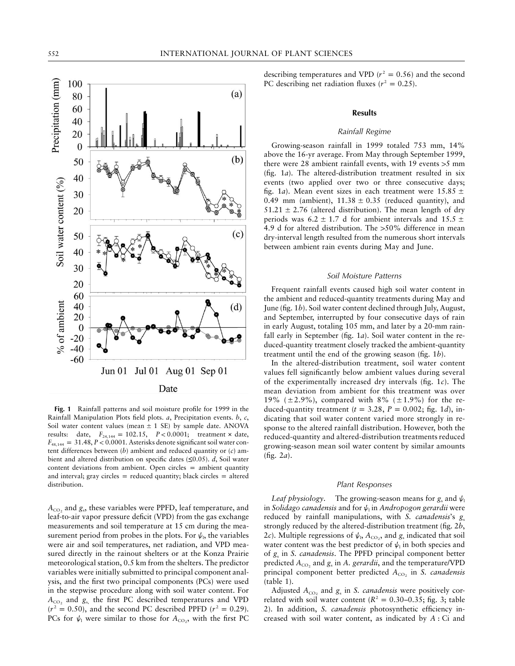

**Fig. 1** Rainfall patterns and soil moisture profile for 1999 in the Rainfall Manipulation Plots field plots. *a*, Precipitation events. *b*, *c*, Soil water content values (mean  $\pm$  1 SE) by sample date. ANOVA results: date,  $F_{24,144} = 102.15$ ,  $P < 0.0001$ ; treatment × date,  $F_{48,144} = 31.48, P < 0.0001$ . Asterisks denote significant soil water content differences between (*b*) ambient and reduced quantity or (*c*) ambient and altered distribution on specific dates (≤0.05). *d*, Soil water content deviations from ambient. Open circles  $=$  ambient quantity and interval; gray circles  $=$  reduced quantity; black circles  $=$  altered distribution.

 $A_{CO<sub>2</sub>}$  and  $g<sub>s</sub>$ , these variables were PPFD, leaf temperature, and leaf-to-air vapor pressure deficit (VPD) from the gas exchange measurements and soil temperature at 15 cm during the measurement period from probes in the plots. For  $\psi_{\text{I}}$ , the variables were air and soil temperatures, net radiation, and VPD measured directly in the rainout shelters or at the Konza Prairie meteorological station, 0.5 km from the shelters. The predictor variables were initially submitted to principal component analysis, and the first two principal components (PCs) were used in the stepwise procedure along with soil water content. For  $A_{CO_2}$  and  $g_s$ , the first PC described temperatures and VPD  $(r^2 = 0.50)$ , and the second PC described PPFD  $(r^2 = 0.29)$ . PCs for  $\psi_1$  were similar to those for  $A_{CO}$ , with the first PC describing temperatures and VPD ( $r^2 = 0.56$ ) and the second PC describing net radiation fluxes ( $r^2 = 0.25$ ).

#### **Results**

### *Rainfall Regime*

Growing-season rainfall in 1999 totaled 753 mm, 14% above the 16-yr average. From May through September 1999, there were 28 ambient rainfall events, with 19 events  $>5$  mm (fig. 1*a*). The altered-distribution treatment resulted in six events (two applied over two or three consecutive days; fig. 1*a*). Mean event sizes in each treatment were  $15.85 \pm$ 0.49 mm (ambient),  $11.38 \pm 0.35$  (reduced quantity), and  $51.21 \pm 2.76$  (altered distribution). The mean length of dry periods was  $6.2 \pm 1.7$  d for ambient intervals and  $15.5 \pm 1.7$ 4.9 d for altered distribution. The  $>50\%$  difference in mean dry-interval length resulted from the numerous short intervals between ambient rain events during May and June.

#### *Soil Moisture Patterns*

Frequent rainfall events caused high soil water content in the ambient and reduced-quantity treatments during May and June (fig. 1*b*). Soil water content declined through July, August, and September, interrupted by four consecutive days of rain in early August, totaling 105 mm, and later by a 20-mm rainfall early in September (fig. 1*a*). Soil water content in the reduced-quantity treatment closely tracked the ambient-quantity treatment until the end of the growing season (fig. 1*b*).

In the altered-distribution treatment, soil water content values fell significantly below ambient values during several of the experimentally increased dry intervals (fig. 1*c*). The mean deviation from ambient for this treatment was over 19% ( $\pm$ 2.9%), compared with 8% ( $\pm$ 1.9%) for the reduced-quantity treatment  $(t = 3.28, P = 0.002;$  fig. 1*d*), indicating that soil water content varied more strongly in response to the altered rainfall distribution. However, both the reduced-quantity and altered-distribution treatments reduced growing-season mean soil water content by similar amounts (fig. 2*a*).

### *Plant Responses*

*Leaf physiology*. The growing-season means for  $g_s$  and  $\psi_1$ in *Solidago canadensis* and for  $\psi_1$  in *Andropogon gerardii* were reduced by rainfall manipulations, with *S. canadensis's g*<sub>s</sub> strongly reduced by the altered-distribution treatment (fig. 2*b*, 2*c*). Multiple regressions of  $\psi$ <sub>1</sub>,  $A$ <sub>CO2</sub>, and  $g$ <sub>s</sub> indicated that soil water content was the best predictor of  $\psi$ <sub>1</sub> in both species and of *g*<sup>s</sup> in *S. canadensis*. The PPFD principal component better predicted  $A_{CO}$ , and  $g_s$  in  $A$ . *gerardii*, and the temperature/VPD principal component better predicted  $A_{CO_2}$  in *S. canadensis* (table 1).

Adjusted  $A_{CO_2}$  and  $g_s$  in *S. canadensis* were positively correlated with soil water content ( $R^2 = 0.30{\text -}0.35$ ; fig. 3; table 2). In addition, *S. canadensis* photosynthetic efficiency increased with soil water content, as indicated by *A* : Ci and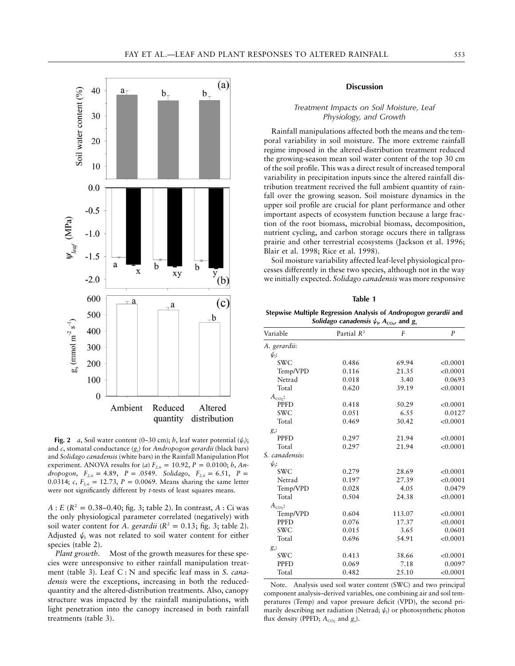

**Fig. 2** *a*, Soil water content (0–30 cm); *b*, leaf water potential  $(\psi_1)$ ; and *c*, stomatal conductance (*g*s) for *Andropogon gerardii* (black bars) and *Solidago canadensis* (white bars) in the Rainfall Manipulation Plot experiment. ANOVA results for (*a*)  $F_{2,6} = 10.92$ ,  $P = 0.0100$ ; *b*, *Andropogon*,  $F_{2,6} = 4.89$ ,  $P = .0549$ . *Solidago*,  $F_{2,6} = 6.51$ ,  $P =$ 0.0314;  $c, F_{2,6} = 12.73, P = 0.0069$ . Means sharing the same letter were not significantly different by *t*-tests of least squares means.

 $A: E(R^2 = 0.38{\text -}0.40; \text{ fig. 3; table 2). In contrast, A: Ci was$ the only physiological parameter correlated (negatively) with soil water content for *A. gerardii* ( $R^2 = 0.13$ ; fig. 3; table 2). Adjusted  $\psi_1$  was not related to soil water content for either species (table 2).

*Plant growth*. Most of the growth measures for these species were unresponsive to either rainfall manipulation treatment (table 3). Leaf C : N and specific leaf mass in *S. canadensis* were the exceptions, increasing in both the reducedquantity and the altered-distribution treatments. Also, canopy structure was impacted by the rainfall manipulations, with light penetration into the canopy increased in both rainfall treatments (table 3).

# **Discussion**

# *Treatment Impacts on Soil Moisture, Leaf Physiology, and Growth*

Rainfall manipulations affected both the means and the temporal variability in soil moisture. The more extreme rainfall regime imposed in the altered-distribution treatment reduced the growing-season mean soil water content of the top 30 cm of the soil profile. This was a direct result of increased temporal variability in precipitation inputs since the altered rainfall distribution treatment received the full ambient quantity of rainfall over the growing season. Soil moisture dynamics in the upper soil profile are crucial for plant performance and other important aspects of ecosystem function because a large fraction of the root biomass, microbial biomass, decomposition, nutrient cycling, and carbon storage occurs there in tallgrass prairie and other terrestrial ecosystems (Jackson et al. 1996; Blair et al. 1998; Rice et al. 1998).

Soil moisture variability affected leaf-level physiological processes differently in these two species, although not in the way we initially expected. *Solidago canadensis* was more responsive

| ю<br>п<br>n<br>× |
|------------------|
|------------------|

**Stepwise Multiple Regression Analysis of** *Andropogon gerardii* **and** *Solidago canadensis*  $\psi_{\nu}$  $A_{\text{co}_{2^{\prime}}}$  *and*  $g_{\text{s}}$ 

| Variable       | Partial $R^2$ | $\overline{F}$ | $\overline{P}$ |  |
|----------------|---------------|----------------|----------------|--|
| A. gerardii:   |               |                |                |  |
| ψ.:            |               |                |                |  |
| <b>SWC</b>     | 0.486         | 69.94          | < 0.0001       |  |
| Temp/VPD       | 0.116         | 21.35          | < 0.0001       |  |
| Netrad         | 0.018         | 3.40           | 0.0693         |  |
| Total          | 0.620         | 39.19          | < 0.0001       |  |
| $A_{CO}$ :     |               |                |                |  |
| <b>PPFD</b>    | 0.418         | 50.29          | < 0.0001       |  |
| <b>SWC</b>     | 0.051         | 6.55           | 0.0127         |  |
| Total          | 0.469         | 30.42          | < 0.0001       |  |
| $g_s$ :        |               |                |                |  |
| <b>PPFD</b>    | 0.297         | 21.94          | < 0.0001       |  |
| Total          | 0.297         | 21.94          | < 0.0001       |  |
| S. canadensis: |               |                |                |  |
| $\psi$ :       |               |                |                |  |
| <b>SWC</b>     | 0.279         | 28.69          | < 0.0001       |  |
| Netrad         | 0.197         | 27.39          | < 0.0001       |  |
| Temp/VPD       | 0.028         | 4.05           | 0.0479         |  |
| Total          | 0.504         | 24.38          | < 0.0001       |  |
| $A_{\rm CO}$ : |               |                |                |  |
| Temp/VPD       | 0.604         | 113.07         | < 0.0001       |  |
| <b>PPFD</b>    | 0.076         | 17.37          | < 0.0001       |  |
| <b>SWC</b>     | 0.015         | 3.65           | 0.0601         |  |
| Total          | 0.696         | 54.91          | < 0.0001       |  |
| $g_s$ :        |               |                |                |  |
| <b>SWC</b>     | 0.413         | 38.66          | < 0.0001       |  |
| <b>PPFD</b>    | 0.069         | 7.18           | 0.0097         |  |
| Total          | 0.482         | 25.10          | < 0.0001       |  |

Note. Analysis used soil water content (SWC) and two principal component analysis–derived variables, one combining air and soil temperatures (Temp) and vapor pressure deficit (VPD), the second primarily describing net radiation (Netrad;  $\psi$ <sub>1</sub>) or photosynthetic photon flux density (PPFD;  $A_{CO}$ , and  $g_s$ ).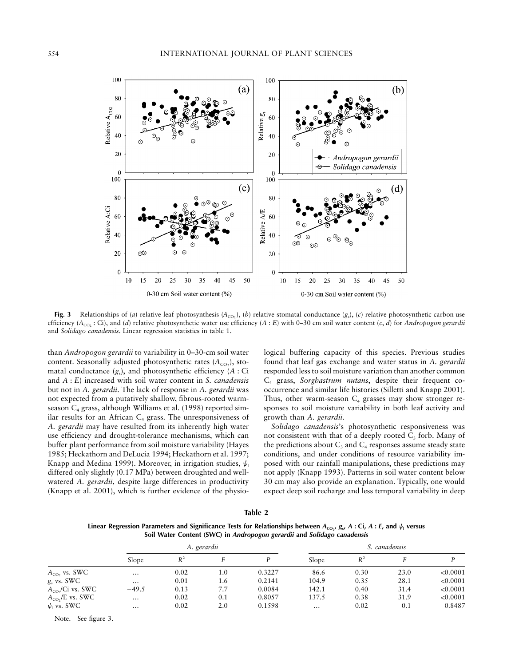

Fig. 3 Relationships of (*a*) relative leaf photosynthesis ( $A_{CO}$ ,), (*b*) relative stomatal conductance (*g*<sub>s</sub>), (*c*) relative photosynthetic carbon use efficiency  $(A_{CO} : Ci)$ , and (*d*) relative photosynthetic water use efficiency  $(A : E)$  with 0–30 cm soil water content  $(c, d)$  for *Andropogon gerardii* and *Solidago canadensis*. Linear regression statistics in table 1.

than *Andropogon gerardii* to variability in 0–30-cm soil water content. Seasonally adjusted photosynthetic rates  $(A_{CO_2})$ , stomatal conductance  $(g_s)$ , and photosynthetic efficiency  $(A : Ci)$ and *A* : *E*) increased with soil water content in *S. canadensis* but not in *A. gerardii*. The lack of response in *A. gerardii* was not expected from a putatively shallow, fibrous-rooted warmseason  $C_4$  grass, although Williams et al. (1998) reported similar results for an African  $C_4$  grass. The unresponsiveness of *A. gerardii* may have resulted from its inherently high water use efficiency and drought-tolerance mechanisms, which can buffer plant performance from soil moisture variability (Hayes 1985; Heckathorn and DeLucia 1994; Heckathorn et al. 1997; Knapp and Medina 1999). Moreover, in irrigation studies,  $\psi_1$ differed only slightly (0.17 MPa) between droughted and wellwatered *A. gerardii*, despite large differences in productivity (Knapp et al. 2001), which is further evidence of the physiological buffering capacity of this species. Previous studies found that leaf gas exchange and water status in *A. gerardii* responded less to soil moisture variation than another common C4 grass, *Sorghastrum nutans*, despite their frequent cooccurrence and similar life histories (Silletti and Knapp 2001). Thus, other warm-season  $C_4$  grasses may show stronger responses to soil moisture variability in both leaf activity and growth than *A. gerardii*.

*Solidago canadensis*'s photosynthetic responsiveness was not consistent with that of a deeply rooted  $C_3$  forb. Many of the predictions about  $C_3$  and  $C_4$  responses assume steady state conditions, and under conditions of resource variability imposed with our rainfall manipulations, these predictions may not apply (Knapp 1993). Patterns in soil water content below 30 cm may also provide an explanation. Typically, one would expect deep soil recharge and less temporal variability in deep

**Table 2**

Linear Regression Parameters and Significance Tests for Relationships between  $A_{\text{co}}$ ,  $g_s$ ,  $A: C$ i,  $A: E$ , and  $\psi_1$  versus **Soil Water Content (SWC) in** *Andropogon gerardii* **and** *Solidago canadensis*

|                       | A. gerardii |       |     | S. canadensis |          |       |      |          |
|-----------------------|-------------|-------|-----|---------------|----------|-------|------|----------|
|                       | Slope       | $R^2$ |     |               | Slope    | $R^2$ |      |          |
| $A_{CO}$ , vs. SWC    | $\cdots$    | 0.02  | 1.0 | 0.3227        | 86.6     | 0.30  | 23.0 | < 0.0001 |
| $gs$ vs. SWC          | $\cdots$    | 0.01  | 1.6 | 0.2141        | 104.9    | 0.35  | 28.1 | < 0.0001 |
| $A_{CO}$ /Ci vs. SWC  | $-49.5$     | 0.13  | 7.7 | 0.0084        | 142.1    | 0.40  | 31.4 | < 0.0001 |
| $A_{CO}$ , /E vs. SWC | $\cdots$    | 0.02  | 0.1 | 0.8057        | 137.5    | 0.38  | 31.9 | < 0.0001 |
| $\psi_1$ vs. SWC      | $\cdots$    | 0.02  | 2.0 | 0.1598        | $\cdots$ | 0.02  | 0.1  | 0.8487   |

Note. See figure 3.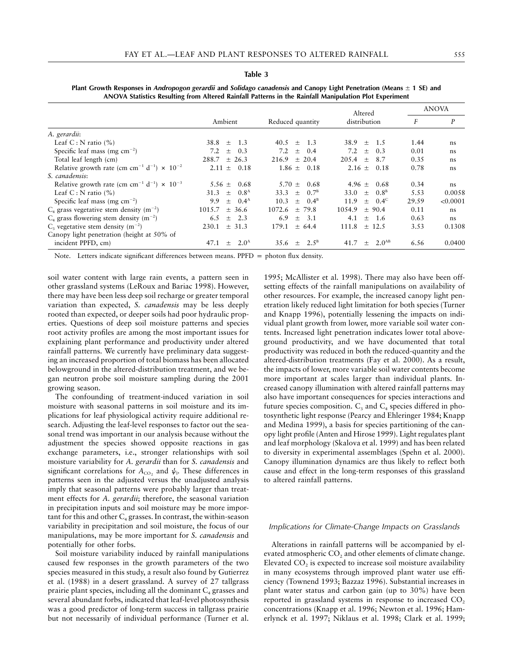#### **Table 3**

|                                                                                       |                                 |                              | Altered                             | <b>ANOVA</b> |          |
|---------------------------------------------------------------------------------------|---------------------------------|------------------------------|-------------------------------------|--------------|----------|
|                                                                                       | Ambient                         | Reduced quantity             | distribution                        | F            | P        |
| A. gerardii:                                                                          |                                 |                              |                                     |              |          |
| Leaf C : N ratio $(\% )$                                                              | 38.8<br>1.3<br>$+$              | $40.5 + 1.3$                 | $38.9 +$<br>1.5                     | 1.44         | ns       |
| Specific leaf mass (mg $\text{cm}^{-2}$ )                                             | 7.2<br>0.3<br>$^{+}$            | 7.2<br>$+$<br>0.4            | 7.2<br>$+$<br>0.3                   | 0.01         | ns       |
| Total leaf length (cm)                                                                | $+26.3$<br>288.7                | 216.9<br>$+20.4$             | $205.4 \pm$<br>8.7                  | 0.35         | ns       |
| Relative growth rate (cm cm <sup>-1</sup> d <sup>-1</sup> ) $\times$ 10 <sup>-2</sup> | 0.18<br>$2.11 \pm$              | 0.18<br>$1.86 \pm$           | $2.16 \pm$<br>0.18                  | 0.78         | ns       |
| S. canadensis:                                                                        |                                 |                              |                                     |              |          |
| Relative growth rate (cm cm <sup>-1</sup> d <sup>-1</sup> ) $\times$ 10 <sup>-3</sup> | 0.68<br>5.56 $\pm$              | $5.70 +$<br>0.68             | $4.96 +$<br>0.68                    | 0.34         | ns       |
| Leaf C : N ratio $(\% )$                                                              | $0.8^{\rm A}$<br>31.3<br>$+$    | 33.3 $\pm$ 0.7 <sup>B</sup>  | 33.0 $\pm$ 0.8 <sup>B</sup>         | 5.53         | 0.0058   |
| Specific leaf mass (mg $\text{cm}^{-2}$ )                                             | $0.4^{\rm A}$<br>9.9<br>$+$     | $0.4^{\rm B}$<br>10.3<br>$+$ | $+$ 0.4 <sup>c</sup><br>11.9        | 29.59        | < 0.0001 |
| $C_4$ grass vegetative stem density (m <sup>-2</sup> )                                | 1015.7<br>$+36.6$               | $1072.6 + 79.8$              | 1054.9<br>$+90.4$                   | 0.11         | ns       |
| $C_4$ grass flowering stem density (m <sup>-2</sup> )                                 | $+2.3$<br>6.5                   | 6.9<br>- 3.1<br>$+$          | 4.1<br>-1.6<br>$^{+}$               | 0.63         | ns       |
| $C_3$ vegetative stem density (m <sup>-2</sup> )                                      | $+31.3$<br>230.1                | 179.1<br>$+64.4$             | 111.8<br>$+$ 12.5                   | 3.53         | 0.1308   |
| Canopy light penetration (height at 50% of                                            |                                 |                              |                                     |              |          |
| incident PPFD, cm)                                                                    | 2.0 <sup>A</sup><br>47.1<br>$+$ | 35.6 $\pm$ 2.5 <sup>B</sup>  | 2.0 <sup>AB</sup><br>41.7<br>$^{+}$ | 6.56         | 0.0400   |

**Plant Growth Responses in** *Andropogon gerardii* **and** *Solidago canadensis* **and Canopy Light Penetration (Means**  $\pm$  **1 SE) and ANOVA Statistics Resulting from Altered Rainfall Patterns in the Rainfall Manipulation Plot Experiment**

Note. Letters indicate significant differences between means.  $PPFD =$  photon flux density.

soil water content with large rain events, a pattern seen in other grassland systems (LeRoux and Bariac 1998). However, there may have been less deep soil recharge or greater temporal variation than expected, *S. canadensis* may be less deeply rooted than expected, or deeper soils had poor hydraulic properties. Questions of deep soil moisture patterns and species root activity profiles are among the most important issues for explaining plant performance and productivity under altered rainfall patterns. We currently have preliminary data suggesting an increased proportion of total biomass has been allocated belowground in the altered-distribution treatment, and we began neutron probe soil moisture sampling during the 2001 growing season.

The confounding of treatment-induced variation in soil moisture with seasonal patterns in soil moisture and its implications for leaf physiological activity require additional research. Adjusting the leaf-level responses to factor out the seasonal trend was important in our analysis because without the adjustment the species showed opposite reactions in gas exchange parameters, i.e., stronger relationships with soil moisture variability for *A. gerardii* than for *S. canadensis* and significant correlations for  $A_{CO_2}$  and  $\psi_1$ . These differences in patterns seen in the adjusted versus the unadjusted analysis imply that seasonal patterns were probably larger than treatment effects for *A. gerardii*; therefore, the seasonal variation in precipitation inputs and soil moisture may be more important for this and other  $C_4$  grasses. In contrast, the within-season variability in precipitation and soil moisture, the focus of our manipulations, may be more important for *S. canadensis* and potentially for other forbs.

Soil moisture variability induced by rainfall manipulations caused few responses in the growth parameters of the two species measured in this study, a result also found by Gutierrez et al. (1988) in a desert grassland. A survey of 27 tallgrass prairie plant species, including all the dominant  $C_4$  grasses and several abundant forbs, indicated that leaf-level photosynthesis was a good predictor of long-term success in tallgrass prairie but not necessarily of individual performance (Turner et al. 1995; McAllister et al. 1998). There may also have been offsetting effects of the rainfall manipulations on availability of other resources. For example, the increased canopy light penetration likely reduced light limitation for both species (Turner and Knapp 1996), potentially lessening the impacts on individual plant growth from lower, more variable soil water contents. Increased light penetration indicates lower total aboveground productivity, and we have documented that total productivity was reduced in both the reduced-quantity and the altered-distribution treatments (Fay et al. 2000). As a result, the impacts of lower, more variable soil water contents become more important at scales larger than individual plants. Increased canopy illumination with altered rainfall patterns may also have important consequences for species interactions and future species composition.  $C_3$  and  $C_4$  species differed in photosynthetic light response (Pearcy and Ehleringer 1984; Knapp and Medina 1999), a basis for species partitioning of the canopy light profile (Anten and Hirose 1999). Light regulates plant and leaf morphology (Skalova et al. 1999) and has been related to diversity in experimental assemblages (Spehn et al. 2000). Canopy illumination dynamics are thus likely to reflect both cause and effect in the long-term responses of this grassland to altered rainfall patterns.

#### *Implications for Climate-Change Impacts on Grasslands*

Alterations in rainfall patterns will be accompanied by elevated atmospheric  $CO<sub>2</sub>$  and other elements of climate change. Elevated  $CO<sub>2</sub>$  is expected to increase soil moisture availability in many ecosystems through improved plant water use efficiency (Townend 1993; Bazzaz 1996). Substantial increases in plant water status and carbon gain (up to 30%) have been reported in grassland systems in response to increased CO<sub>2</sub> concentrations (Knapp et al. 1996; Newton et al. 1996; Hamerlynck et al. 1997; Niklaus et al. 1998; Clark et al. 1999;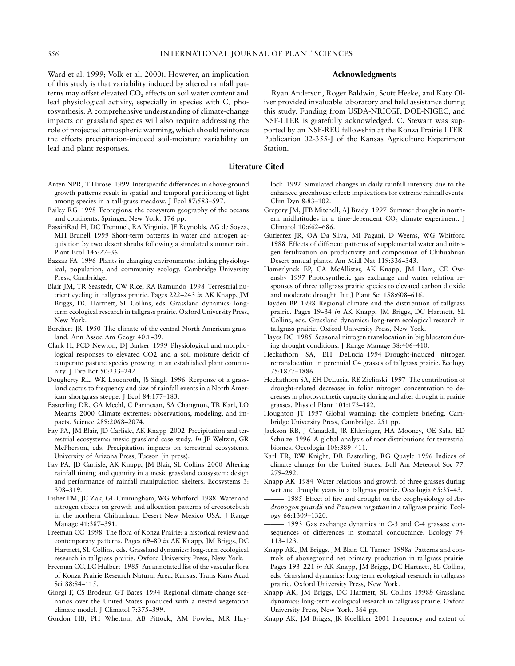Ward et al. 1999; Volk et al. 2000). However, an implication of this study is that variability induced by altered rainfall patterns may offset elevated  $CO<sub>2</sub>$  effects on soil water content and leaf physiological activity, especially in species with  $C_3$  photosynthesis. A comprehensive understanding of climate-change impacts on grassland species will also require addressing the role of projected atmospheric warming, which should reinforce the effects precipitation-induced soil-moisture variability on leaf and plant responses.

# Anten NPR, T Hirose 1999 Interspecific differences in above-ground growth patterns result in spatial and temporal partitioning of light among species in a tall-grass meadow. J Ecol 87:583–597.

- Bailey RG 1998 Ecoregions: the ecosystem geography of the oceans and continents. Springer, New York. 176 pp.
- BassiriRad H, DC Tremmel, RA Virginia, JF Reynolds, AG de Soyza, MH Brunell 1999 Short-term patterns in water and nitrogen acquisition by two desert shrubs following a simulated summer rain. Plant Ecol 145:27–36.
- Bazzaz FA 1996 Plants in changing environments: linking physiological, population, and community ecology. Cambridge University Press, Cambridge.
- Blair JM, TR Seastedt, CW Rice, RA Ramundo 1998 Terrestrial nutrient cycling in tallgrass prairie. Pages 222–243 *in* AK Knapp, JM Briggs, DC Hartnett, SL Collins, eds. Grassland dynamics: longterm ecological research in tallgrass prairie. Oxford University Press, New York.
- Borchert JR 1950 The climate of the central North American grassland. Ann Assoc Am Geogr 40:1–39.
- Clark H, PCD Newton, DJ Barker 1999 Physiological and morphological responses to elevated CO2 and a soil moisture deficit of temperate pasture species growing in an established plant community. J Exp Bot 50:233–242.
- Dougherty RL, WK Lauenroth, JS Singh 1996 Response of a grassland cactus to frequency and size of rainfall events in a North American shortgrass steppe. J Ecol 84:177–183.
- Easterling DR, GA Meehl, C Parmesan, SA Changnon, TR Karl, LO Mearns 2000 Climate extremes: observations, modeling, and impacts. Science 289:2068–2074.
- Fay PA, JM Blair, JD Carlisle, AK Knapp 2002 Precipitation and terrestrial ecosystems: mesic grassland case study. *In* JF Weltzin, GR McPherson, eds. Precipitation impacts on terrestrial ecosystems. University of Arizona Press, Tucson (in press).
- Fay PA, JD Carlisle, AK Knapp, JM Blair, SL Collins 2000 Altering rainfall timing and quantity in a mesic grassland ecosystem: design and performance of rainfall manipulation shelters. Ecosystems 3: 308–319.
- Fisher FM, JC Zak, GL Cunningham, WG Whitford 1988 Water and nitrogen effects on growth and allocation patterns of creosotebush in the northern Chihuahuan Desert New Mexico USA. J Range Manage 41:387–391.
- Freeman CC 1998 The flora of Konza Prairie: a historical review and contemporary patterns. Pages 69–80 *in* AK Knapp, JM Briggs, DC Hartnett, SL Collins, eds. Grassland dynamics: long-term ecological research in tallgrass prairie. Oxford University Press, New York.
- Freeman CC, LC Hulbert 1985 An annotated list of the vascular flora of Konza Prairie Research Natural Area, Kansas. Trans Kans Acad Sci 88:84–115.
- Giorgi F, CS Brodeur, GT Bates 1994 Regional climate change scenarios over the United States produced with a nested vegetation climate model. J Climatol 7:375–399.
- Gordon HB, PH Whetton, AB Pittock, AM Fowler, MR Hay-

# **Acknowledgments**

Ryan Anderson, Roger Baldwin, Scott Heeke, and Katy Oliver provided invaluable laboratory and field assistance during this study. Funding from USDA-NRICGP, DOE-NIGEC, and NSF-LTER is gratefully acknowledged. C. Stewart was supported by an NSF-REU fellowship at the Konza Prairie LTER. Publication 02-355-J of the Kansas Agriculture Experiment Station.

# **Literature Cited**

lock 1992 Simulated changes in daily rainfall intensity due to the enhanced greenhouse effect: implications for extreme rainfall events. Clim Dyn 8:83–102.

- Gregory JM, JFB Mitchell, AJ Brady 1997 Summer drought in northern midlatitudes in a time-dependent  $CO<sub>2</sub>$  climate experiment. J Climatol 10:662–686.
- Gutierrez JR, OA Da Silva, MI Pagani, D Weems, WG Whitford 1988 Effects of different patterns of supplemental water and nitrogen fertilization on productivity and composition of Chihuahuan Desert annual plants. Am Midl Nat 119:336–343.
- Hamerlynck EP, CA McAllister, AK Knapp, JM Ham, CE Owensby 1997 Photosynthetic gas exchange and water relation responses of three tallgrass prairie species to elevated carbon dioxide and moderate drought. Int J Plant Sci 158:608–616.
- Hayden BP 1998 Regional climate and the distribution of tallgrass prairie. Pages 19–34 *in* AK Knapp, JM Briggs, DC Hartnett, SL Collins, eds. Grassland dynamics: long-term ecological research in tallgrass prairie. Oxford University Press, New York.
- Hayes DC 1985 Seasonal nitrogen translocation in big bluestem during drought conditions. J Range Manage 38:406–410.
- Heckathorn SA, EH DeLucia 1994 Drought-induced nitrogen retranslocation in perennial C4 grasses of tallgrass prairie. Ecology 75:1877–1886.
- Heckathorn SA, EH DeLucia, RE Zielinski 1997 The contribution of drought-related decreases in foliar nitrogen concentration to decreases in photosynthetic capacity during and after drought in prairie grasses. Physiol Plant 101:173–182.
- Houghton JT 1997 Global warming: the complete briefing. Cambridge University Press, Cambridge. 251 pp.
- Jackson RB, J Canadell, JR Ehleringer, HA Mooney, OE Sala, ED Schulze 1996 A global analysis of root distributions for terrestrial biomes. Oecologia 108:389–411.
- Karl TR, RW Knight, DR Easterling, RG Quayle 1996 Indices of climate change for the United States. Bull Am Meteorol Soc 77: 279–292.
- Knapp AK 1984 Water relations and growth of three grasses during wet and drought years in a tallgrass prairie. Oecologia 65:35–43.
- 1985 Effect of fire and drought on the ecophysiology of *Andropogon gerardii* and *Panicum virgatum* in a tallgrass prairie. Ecology 66:1309–1320.
- 1993 Gas exchange dynamics in C-3 and C-4 grasses: consequences of differences in stomatal conductance. Ecology 74: 113–123.
- Knapp AK, JM Briggs, JM Blair, CL Turner 1998*a* Patterns and controls of aboveground net primary production in tallgrass prairie. Pages 193–221 *in* AK Knapp, JM Briggs, DC Hartnett, SL Collins, eds. Grassland dynamics: long-term ecological research in tallgrass prairie. Oxford University Press, New York.
- Knapp AK, JM Briggs, DC Hartnett, SL Collins 1998*b* Grassland dynamics: long-term ecological research in tallgrass prairie. Oxford University Press, New York. 364 pp.
- Knapp AK, JM Briggs, JK Koelliker 2001 Frequency and extent of